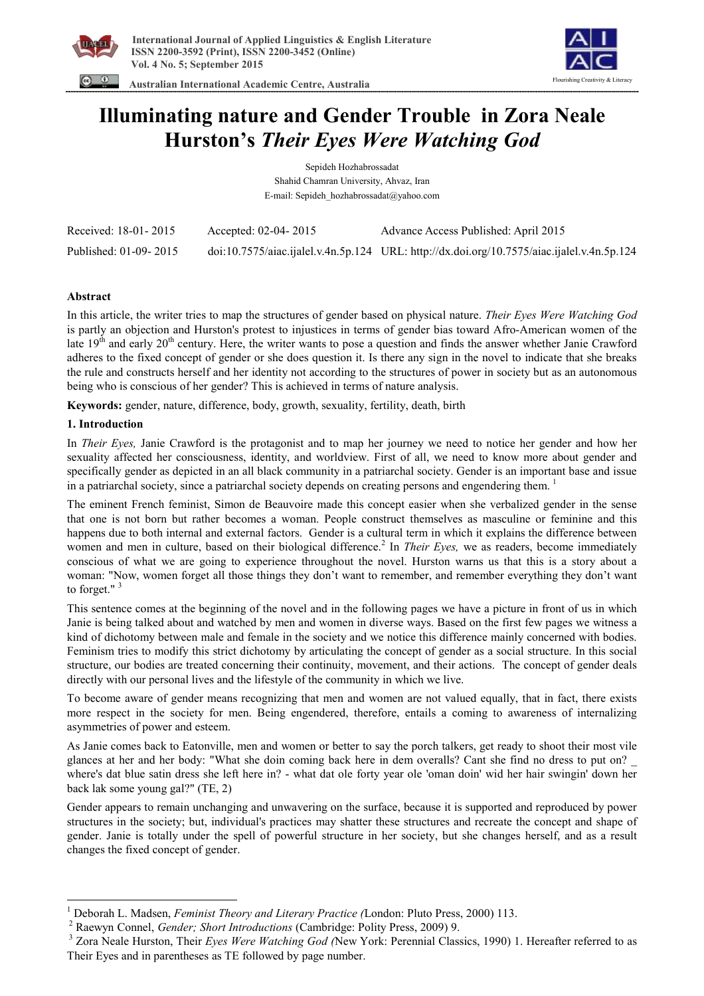

 **Australian International Academic Centre, Australia** 



# **Illuminating nature and Gender Trouble in Zora Neale Hurston's** *Their Eyes Were Watching God*

Sepideh Hozhabrossadat Shahid Chamran University, Ahvaz, Iran E-mail: Sepideh\_hozhabrossadat@yahoo.com

| Received: 18-01-2015  | Accepted: $02-04-2015$ | Advance Access Published: April 2015                                                               |
|-----------------------|------------------------|----------------------------------------------------------------------------------------------------|
| Published: 01-09-2015 |                        | $doi:10.7575/aiac.ijalel.v.4n.5p.124 \quad URL: http://dx.doi.org/10.7575/aiac.ijalel.v.4n.5p.124$ |

## **Abstract**

In this article, the writer tries to map the structures of gender based on physical nature. *Their Eyes Were Watching God* is partly an objection and Hurston's protest to injustices in terms of gender bias toward Afro-American women of the late  $19<sup>th</sup>$  and early  $20<sup>th</sup>$  century. Here, the writer wants to pose a question and finds the answer whether Janie Crawford adheres to the fixed concept of gender or she does question it. Is there any sign in the novel to indicate that she breaks the rule and constructs herself and her identity not according to the structures of power in society but as an autonomous being who is conscious of her gender? This is achieved in terms of nature analysis.

**Keywords:** gender, nature, difference, body, growth, sexuality, fertility, death, birth

## **1. Introduction**

 $\overline{\phantom{a}}$ 

In *Their Eyes,* Janie Crawford is the protagonist and to map her journey we need to notice her gender and how her sexuality affected her consciousness, identity, and worldview. First of all, we need to know more about gender and specifically gender as depicted in an all black community in a patriarchal society. Gender is an important base and issue in a patriarchal society, since a patriarchal society depends on creating persons and engendering them.<sup>1</sup>

The eminent French feminist, Simon de Beauvoire made this concept easier when she verbalized gender in the sense that one is not born but rather becomes a woman. People construct themselves as masculine or feminine and this happens due to both internal and external factors. Gender is a cultural term in which it explains the difference between women and men in culture, based on their biological difference.<sup>2</sup> In *Their Eyes*, we as readers, become immediately conscious of what we are going to experience throughout the novel. Hurston warns us that this is a story about a woman: "Now, women forget all those things they don't want to remember, and remember everything they don't want to forget."<sup>3</sup>

This sentence comes at the beginning of the novel and in the following pages we have a picture in front of us in which Janie is being talked about and watched by men and women in diverse ways. Based on the first few pages we witness a kind of dichotomy between male and female in the society and we notice this difference mainly concerned with bodies. Feminism tries to modify this strict dichotomy by articulating the concept of gender as a social structure. In this social structure, our bodies are treated concerning their continuity, movement, and their actions. The concept of gender deals directly with our personal lives and the lifestyle of the community in which we live.

To become aware of gender means recognizing that men and women are not valued equally, that in fact, there exists more respect in the society for men. Being engendered, therefore, entails a coming to awareness of internalizing asymmetries of power and esteem.

As Janie comes back to Eatonville, men and women or better to say the porch talkers, get ready to shoot their most vile glances at her and her body: "What she doin coming back here in dem overalls? Cant she find no dress to put on? \_ where's dat blue satin dress she left here in? - what dat ole forty year ole 'oman doin' wid her hair swingin' down her back lak some young gal?" (TE, 2)

Gender appears to remain unchanging and unwavering on the surface, because it is supported and reproduced by power structures in the society; but, individual's practices may shatter these structures and recreate the concept and shape of gender. Janie is totally under the spell of powerful structure in her society, but she changes herself, and as a result changes the fixed concept of gender.

<sup>1</sup> Deborah L. Madsen, *Feminist Theory and Literary Practice (*London: Pluto Press, 2000) 113.

<sup>2</sup> Raewyn Connel, *Gender; Short Introductions* (Cambridge: Polity Press, 2009) 9.

<sup>3</sup> Zora Neale Hurston, Their *Eyes Were Watching God (*New York: Perennial Classics, 1990) 1. Hereafter referred to as Their Eyes and in parentheses as TE followed by page number.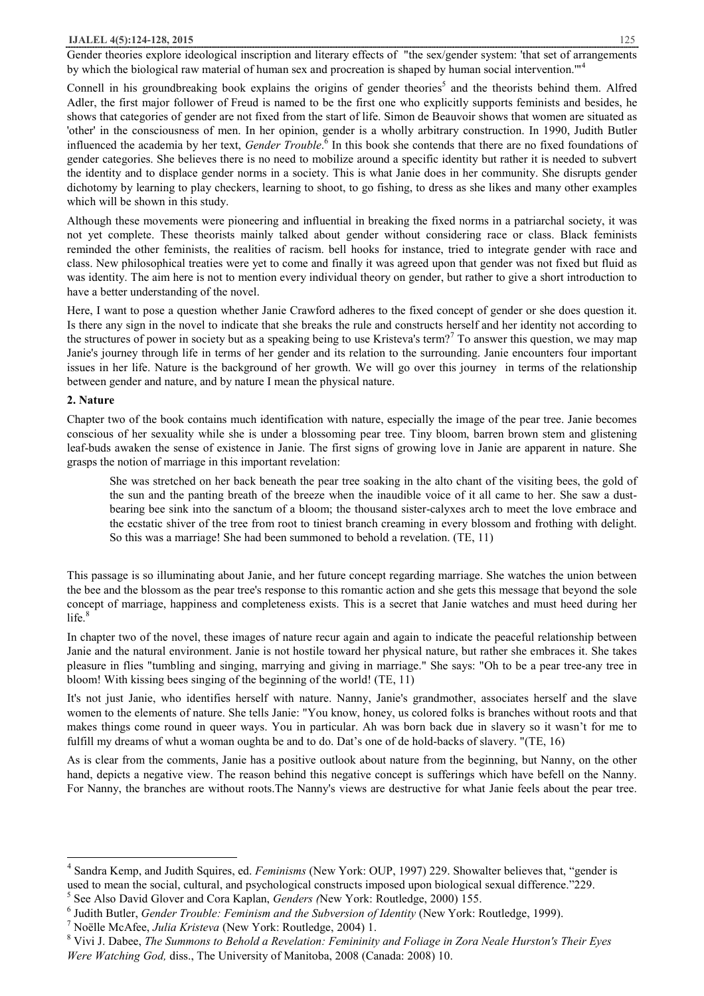### **IJALEL 4(5):124-128, 2015** 125

Gender theories explore ideological inscription and literary effects of "the sex/gender system: 'that set of arrangements by which the biological raw material of human sex and procreation is shaped by human social intervention."<sup>4</sup>

Connell in his groundbreaking book explains the origins of gender theories<sup>5</sup> and the theorists behind them. Alfred Adler, the first major follower of Freud is named to be the first one who explicitly supports feminists and besides, he shows that categories of gender are not fixed from the start of life. Simon de Beauvoir shows that women are situated as 'other' in the consciousness of men. In her opinion, gender is a wholly arbitrary construction. In 1990, Judith Butler influenced the academia by her text, *Gender Trouble*. 6 In this book she contends that there are no fixed foundations of gender categories. She believes there is no need to mobilize around a specific identity but rather it is needed to subvert the identity and to displace gender norms in a society. This is what Janie does in her community. She disrupts gender dichotomy by learning to play checkers, learning to shoot, to go fishing, to dress as she likes and many other examples which will be shown in this study.

Although these movements were pioneering and influential in breaking the fixed norms in a patriarchal society, it was not yet complete. These theorists mainly talked about gender without considering race or class. Black feminists reminded the other feminists, the realities of racism. bell hooks for instance, tried to integrate gender with race and class. New philosophical treaties were yet to come and finally it was agreed upon that gender was not fixed but fluid as was identity. The aim here is not to mention every individual theory on gender, but rather to give a short introduction to have a better understanding of the novel.

Here, I want to pose a question whether Janie Crawford adheres to the fixed concept of gender or she does question it. Is there any sign in the novel to indicate that she breaks the rule and constructs herself and her identity not according to the structures of power in society but as a speaking being to use Kristeva's term?<sup>7</sup> To answer this question, we may map Janie's journey through life in terms of her gender and its relation to the surrounding. Janie encounters four important issues in her life. Nature is the background of her growth. We will go over this journey in terms of the relationship between gender and nature, and by nature I mean the physical nature.

## **2. Nature**

 $\overline{\phantom{a}}$ 

Chapter two of the book contains much identification with nature, especially the image of the pear tree. Janie becomes conscious of her sexuality while she is under a blossoming pear tree. Tiny bloom, barren brown stem and glistening leaf-buds awaken the sense of existence in Janie. The first signs of growing love in Janie are apparent in nature. She grasps the notion of marriage in this important revelation:

She was stretched on her back beneath the pear tree soaking in the alto chant of the visiting bees, the gold of the sun and the panting breath of the breeze when the inaudible voice of it all came to her. She saw a dustbearing bee sink into the sanctum of a bloom; the thousand sister-calyxes arch to meet the love embrace and the ecstatic shiver of the tree from root to tiniest branch creaming in every blossom and frothing with delight. So this was a marriage! She had been summoned to behold a revelation. (TE, 11)

This passage is so illuminating about Janie, and her future concept regarding marriage. She watches the union between the bee and the blossom as the pear tree's response to this romantic action and she gets this message that beyond the sole concept of marriage, happiness and completeness exists. This is a secret that Janie watches and must heed during her  $life.<sup>8</sup>$ 

In chapter two of the novel, these images of nature recur again and again to indicate the peaceful relationship between Janie and the natural environment. Janie is not hostile toward her physical nature, but rather she embraces it. She takes pleasure in flies "tumbling and singing, marrying and giving in marriage." She says: "Oh to be a pear tree-any tree in bloom! With kissing bees singing of the beginning of the world! (TE, 11)

It's not just Janie, who identifies herself with nature. Nanny, Janie's grandmother, associates herself and the slave women to the elements of nature. She tells Janie: "You know, honey, us colored folks is branches without roots and that makes things come round in queer ways. You in particular. Ah was born back due in slavery so it wasn't for me to fulfill my dreams of whut a woman oughta be and to do. Dat's one of de hold-backs of slavery. "(TE, 16)

As is clear from the comments, Janie has a positive outlook about nature from the beginning, but Nanny, on the other hand, depicts a negative view. The reason behind this negative concept is sufferings which have befell on the Nanny. For Nanny, the branches are without roots.The Nanny's views are destructive for what Janie feels about the pear tree.

<sup>4</sup> Sandra Kemp, and Judith Squires, ed. *Feminisms* (New York: OUP, 1997) 229. Showalter believes that, "gender is used to mean the social, cultural, and psychological constructs imposed upon biological sexual difference."229.

<sup>5</sup> See Also David Glover and Cora Kaplan, *Genders (*New York: Routledge, 2000) 155.

<sup>6</sup> Judith Butler, *Gender Trouble: Feminism and the Subversion of Identity* (New York: Routledge, 1999).

<sup>7</sup> Noëlle McAfee, *Julia Kristeva* (New York: Routledge, 2004) 1.

<sup>8</sup> Vivi J. Dabee, *The Summons to Behold a Revelation: Femininity and Foliage in Zora Neale Hurston's Their Eyes Were Watching God,* diss., The University of Manitoba, 2008 (Canada: 2008) 10.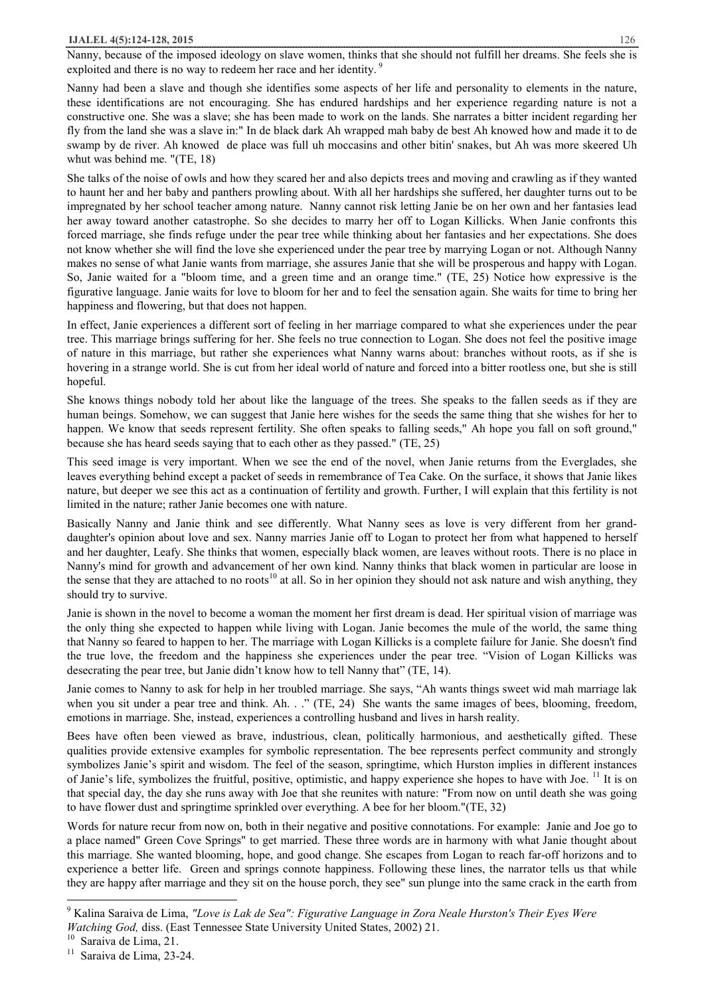### **IJALEL 4(5):124-128, 2015** 126

Nanny, because of the imposed ideology on slave women, thinks that she should not fulfill her dreams. She feels she is exploited and there is no way to redeem her race and her identity.<sup>9</sup>

Nanny had been a slave and though she identifies some aspects of her life and personality to elements in the nature, these identifications are not encouraging. She has endured hardships and her experience regarding nature is not a constructive one. She was a slave; she has been made to work on the lands. She narrates a bitter incident regarding her fly from the land she was a slave in:" In de black dark Ah wrapped mah baby de best Ah knowed how and made it to de swamp by de river. Ah knowed de place was full uh moccasins and other bitin' snakes, but Ah was more skeered Uh whut was behind me. "(TE, 18)

She talks of the noise of owls and how they scared her and also depicts trees and moving and crawling as if they wanted to haunt her and her baby and panthers prowling about. With all her hardships she suffered, her daughter turns out to be impregnated by her school teacher among nature. Nanny cannot risk letting Janie be on her own and her fantasies lead her away toward another catastrophe. So she decides to marry her off to Logan Killicks. When Janie confronts this forced marriage, she finds refuge under the pear tree while thinking about her fantasies and her expectations. She does not know whether she will find the love she experienced under the pear tree by marrying Logan or not. Although Nanny makes no sense of what Janie wants from marriage, she assures Janie that she will be prosperous and happy with Logan. So, Janie waited for a "bloom time, and a green time and an orange time." (TE, 25) Notice how expressive is the figurative language. Janie waits for love to bloom for her and to feel the sensation again. She waits for time to bring her happiness and flowering, but that does not happen.

In effect, Janie experiences a different sort of feeling in her marriage compared to what she experiences under the pear tree. This marriage brings suffering for her. She feels no true connection to Logan. She does not feel the positive image of nature in this marriage, but rather she experiences what Nanny warns about: branches without roots, as if she is hovering in a strange world. She is cut from her ideal world of nature and forced into a bitter rootless one, but she is still hopeful.

She knows things nobody told her about like the language of the trees. She speaks to the fallen seeds as if they are human beings. Somehow, we can suggest that Janie here wishes for the seeds the same thing that she wishes for her to happen. We know that seeds represent fertility. She often speaks to falling seeds," Ah hope you fall on soft ground," because she has heard seeds saying that to each other as they passed." (TE, 25)

This seed image is very important. When we see the end of the novel, when Janie returns from the Everglades, she leaves everything behind except a packet of seeds in remembrance of Tea Cake. On the surface, it shows that Janie likes nature, but deeper we see this act as a continuation of fertility and growth. Further, I will explain that this fertility is not limited in the nature; rather Janie becomes one with nature.

Basically Nanny and Janie think and see differently. What Nanny sees as love is very different from her granddaughter's opinion about love and sex. Nanny marries Janie off to Logan to protect her from what happened to herself and her daughter, Leafy. She thinks that women, especially black women, are leaves without roots. There is no place in Nanny's mind for growth and advancement of her own kind. Nanny thinks that black women in particular are loose in the sense that they are attached to no roots<sup>10</sup> at all. So in her opinion they should not ask nature and wish anything, they should try to survive.

Janie is shown in the novel to become a woman the moment her first dream is dead. Her spiritual vision of marriage was the only thing she expected to happen while living with Logan. Janie becomes the mule of the world, the same thing that Nanny so feared to happen to her. The marriage with Logan Killicks is a complete failure for Janie. She doesn't find the true love, the freedom and the happiness she experiences under the pear tree. "Vision of Logan Killicks was desecrating the pear tree, but Janie didn't know how to tell Nanny that" (TE, 14).

Janie comes to Nanny to ask for help in her troubled marriage. She says, "Ah wants things sweet wid mah marriage lak when you sit under a pear tree and think. Ah. . ." (TE, 24) She wants the same images of bees, blooming, freedom, emotions in marriage. She, instead, experiences a controlling husband and lives in harsh reality.

Bees have often been viewed as brave, industrious, clean, politically harmonious, and aesthetically gifted. These qualities provide extensive examples for symbolic representation. The bee represents perfect community and strongly symbolizes Janie's spirit and wisdom. The feel of the season, springtime, which Hurston implies in different instances of Janie's life, symbolizes the fruitful, positive, optimistic, and happy experience she hopes to have with Joe. <sup>11</sup> It is on that special day, the day she runs away with Joe that she reunites with nature: "From now on until death she was going to have flower dust and springtime sprinkled over everything. A bee for her bloom."(TE, 32)

Words for nature recur from now on, both in their negative and positive connotations. For example: Janie and Joe go to a place named" Green Cove Springs" to get married. These three words are in harmony with what Janie thought about this marriage. She wanted blooming, hope, and good change. She escapes from Logan to reach far-off horizons and to experience a better life. Green and springs connote happiness. Following these lines, the narrator tells us that while they are happy after marriage and they sit on the house porch, they see" sun plunge into the same crack in the earth from

 $\overline{\phantom{a}}$ 

<sup>9</sup> Kalina Saraiva de Lima, *"Love is Lak de Sea": Figurative Language in Zora Neale Hurston's Their Eyes Were Watching God,* diss. (East Tennessee State University United States, 2002) 21.

<sup>&</sup>lt;sup>10</sup> Saraiva de Lima, 21.

<sup>11</sup> Saraiva de Lima, 23-24.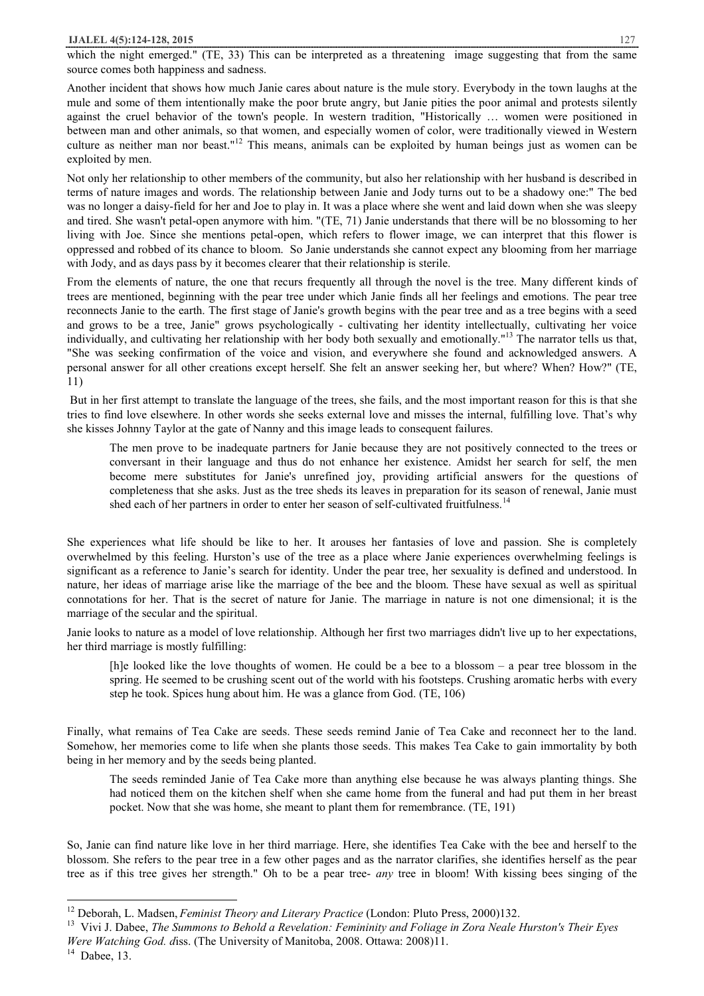which the night emerged." (TE, 33) This can be interpreted as a threatening image suggesting that from the same source comes both happiness and sadness.

Another incident that shows how much Janie cares about nature is the mule story. Everybody in the town laughs at the mule and some of them intentionally make the poor brute angry, but Janie pities the poor animal and protests silently against the cruel behavior of the town's people. In western tradition, "Historically … women were positioned in between man and other animals, so that women, and especially women of color, were traditionally viewed in Western culture as neither man nor beast."<sup>12</sup> This means, animals can be exploited by human beings just as women can be exploited by men.

Not only her relationship to other members of the community, but also her relationship with her husband is described in terms of nature images and words. The relationship between Janie and Jody turns out to be a shadowy one:" The bed was no longer a daisy-field for her and Joe to play in. It was a place where she went and laid down when she was sleepy and tired. She wasn't petal-open anymore with him. "(TE, 71) Janie understands that there will be no blossoming to her living with Joe. Since she mentions petal-open, which refers to flower image, we can interpret that this flower is oppressed and robbed of its chance to bloom. So Janie understands she cannot expect any blooming from her marriage with Jody, and as days pass by it becomes clearer that their relationship is sterile.

From the elements of nature, the one that recurs frequently all through the novel is the tree. Many different kinds of trees are mentioned, beginning with the pear tree under which Janie finds all her feelings and emotions. The pear tree reconnects Janie to the earth. The first stage of Janie's growth begins with the pear tree and as a tree begins with a seed and grows to be a tree, Janie" grows psychologically - cultivating her identity intellectually, cultivating her voice individually, and cultivating her relationship with her body both sexually and emotionally."<sup>13</sup> The narrator tells us that, "She was seeking confirmation of the voice and vision, and everywhere she found and acknowledged answers. A personal answer for all other creations except herself. She felt an answer seeking her, but where? When? How?" (TE, 11)

But in her first attempt to translate the language of the trees, she fails, and the most important reason for this is that she tries to find love elsewhere. In other words she seeks external love and misses the internal, fulfilling love. That's why she kisses Johnny Taylor at the gate of Nanny and this image leads to consequent failures.

The men prove to be inadequate partners for Janie because they are not positively connected to the trees or conversant in their language and thus do not enhance her existence. Amidst her search for self, the men become mere substitutes for Janie's unrefined joy, providing artificial answers for the questions of completeness that she asks. Just as the tree sheds its leaves in preparation for its season of renewal, Janie must shed each of her partners in order to enter her season of self-cultivated fruitfulness.<sup>14</sup>

She experiences what life should be like to her. It arouses her fantasies of love and passion. She is completely overwhelmed by this feeling. Hurston's use of the tree as a place where Janie experiences overwhelming feelings is significant as a reference to Janie's search for identity. Under the pear tree, her sexuality is defined and understood. In nature, her ideas of marriage arise like the marriage of the bee and the bloom. These have sexual as well as spiritual connotations for her. That is the secret of nature for Janie. The marriage in nature is not one dimensional; it is the marriage of the secular and the spiritual.

Janie looks to nature as a model of love relationship. Although her first two marriages didn't live up to her expectations, her third marriage is mostly fulfilling:

[h]e looked like the love thoughts of women. He could be a bee to a blossom – a pear tree blossom in the spring. He seemed to be crushing scent out of the world with his footsteps. Crushing aromatic herbs with every step he took. Spices hung about him. He was a glance from God. (TE, 106)

Finally, what remains of Tea Cake are seeds. These seeds remind Janie of Tea Cake and reconnect her to the land. Somehow, her memories come to life when she plants those seeds. This makes Tea Cake to gain immortality by both being in her memory and by the seeds being planted.

The seeds reminded Janie of Tea Cake more than anything else because he was always planting things. She had noticed them on the kitchen shelf when she came home from the funeral and had put them in her breast pocket. Now that she was home, she meant to plant them for remembrance. (TE, 191)

So, Janie can find nature like love in her third marriage. Here, she identifies Tea Cake with the bee and herself to the blossom. She refers to the pear tree in a few other pages and as the narrator clarifies, she identifies herself as the pear tree as if this tree gives her strength." Oh to be a pear tree- *any* tree in bloom! With kissing bees singing of the

 $\overline{\phantom{a}}$ 

<sup>12</sup> Deborah, L. Madsen, *Feminist Theory and Literary Practice* (London: Pluto Press, 2000)132.

<sup>13</sup> Vivi J. Dabee, *The Summons to Behold a Revelation: Femininity and Foliage in Zora Neale Hurston's Their Eyes Were Watching God. d*iss. (The University of Manitoba, 2008. Ottawa: 2008)11.

 $14$  Dabee, 13.